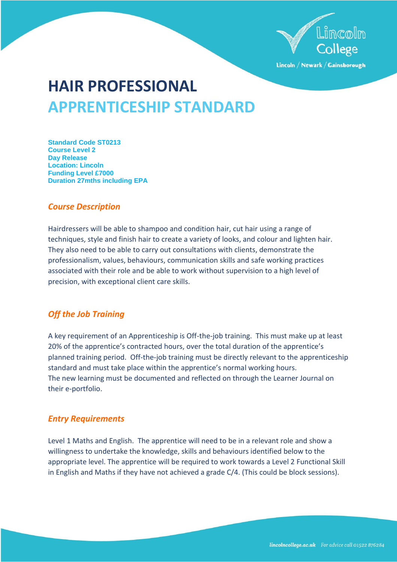

Lincoln / Newark / Gainsborough

# **HAIR PROFESSIONAL APPRENTICESHIP STANDARD**

**Standard Code ST0213 Course Level 2 Day Release Location: Lincoln Funding Level £7000 Duration 27mths including EPA**

## *Course Description*

Hairdressers will be able to shampoo and condition hair, cut hair using a range of techniques, style and finish hair to create a variety of looks, and colour and lighten hair. They also need to be able to carry out consultations with clients, demonstrate the professionalism, values, behaviours, communication skills and safe working practices associated with their role and be able to work without supervision to a high level of precision, with exceptional client care skills.

# *Off the Job Training*

A key requirement of an Apprenticeship is Off-the-job training. This must make up at least 20% of the apprentice's contracted hours, over the total duration of the apprentice's planned training period. Off-the-job training must be directly relevant to the apprenticeship standard and must take place within the apprentice's normal working hours. The new learning must be documented and reflected on through the Learner Journal on their e-portfolio.

# *Entry Requirements*

Level 1 Maths and English. The apprentice will need to be in a relevant role and show a willingness to undertake the knowledge, skills and behaviours identified below to the appropriate level. The apprentice will be required to work towards a Level 2 Functional Skill in English and Maths if they have not achieved a grade C/4. (This could be block sessions).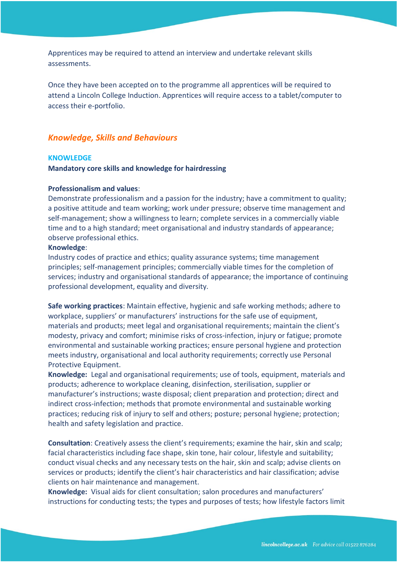Apprentices may be required to attend an interview and undertake relevant skills assessments.

Once they have been accepted on to the programme all apprentices will be required to attend a Lincoln College Induction. Apprentices will require access to a tablet/computer to access their e-portfolio.

## *Knowledge, Skills and Behaviours*

#### **KNOWLEDGE**

#### **Mandatory core skills and knowledge for hairdressing**

## **Professionalism and values**:

Demonstrate professionalism and a passion for the industry; have a commitment to quality; a positive attitude and team working; work under pressure; observe time management and self-management; show a willingness to learn; complete services in a commercially viable time and to a high standard; meet organisational and industry standards of appearance; observe professional ethics.

#### **Knowledge**:

Industry codes of practice and ethics; quality assurance systems; time management principles; self-management principles; commercially viable times for the completion of services; industry and organisational standards of appearance; the importance of continuing professional development, equality and diversity.

**Safe working practices**: Maintain effective, hygienic and safe working methods; adhere to workplace, suppliers' or manufacturers' instructions for the safe use of equipment, materials and products; meet legal and organisational requirements; maintain the client's modesty, privacy and comfort; minimise risks of cross-infection, injury or fatigue; promote environmental and sustainable working practices; ensure personal hygiene and protection meets industry, organisational and local authority requirements; correctly use Personal Protective Equipment.

**Knowledge:** Legal and organisational requirements; use of tools, equipment, materials and products; adherence to workplace cleaning, disinfection, sterilisation, supplier or manufacturer's instructions; waste disposal; client preparation and protection; direct and indirect cross-infection; methods that promote environmental and sustainable working practices; reducing risk of injury to self and others; posture; personal hygiene; protection; health and safety legislation and practice.

**Consultation**: Creatively assess the client's requirements; examine the hair, skin and scalp; facial characteristics including face shape, skin tone, hair colour, lifestyle and suitability; conduct visual checks and any necessary tests on the hair, skin and scalp; advise clients on services or products; identify the client's hair characteristics and hair classification; advise clients on hair maintenance and management.

**Knowledge:** Visual aids for client consultation; salon procedures and manufacturers' instructions for conducting tests; the types and purposes of tests; how lifestyle factors limit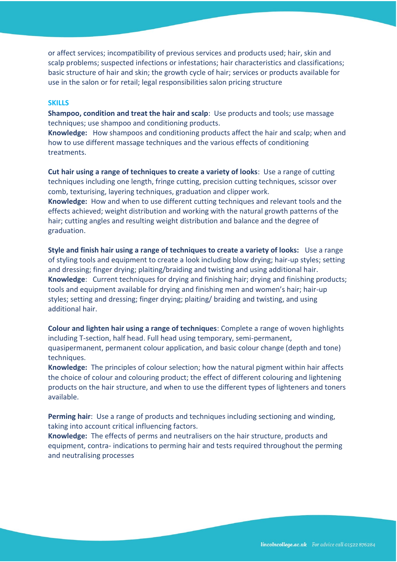or affect services; incompatibility of previous services and products used; hair, skin and scalp problems; suspected infections or infestations; hair characteristics and classifications; basic structure of hair and skin; the growth cycle of hair; services or products available for use in the salon or for retail; legal responsibilities salon pricing structure

#### **SKILLS**

**Shampoo, condition and treat the hair and scalp**: Use products and tools; use massage techniques; use shampoo and conditioning products.

**Knowledge:** How shampoos and conditioning products affect the hair and scalp; when and how to use different massage techniques and the various effects of conditioning treatments.

**Cut hair using a range of techniques to create a variety of looks**: Use a range of cutting techniques including one length, fringe cutting, precision cutting techniques, scissor over comb, texturising, layering techniques, graduation and clipper work. **Knowledge:** How and when to use different cutting techniques and relevant tools and the effects achieved; weight distribution and working with the natural growth patterns of the hair; cutting angles and resulting weight distribution and balance and the degree of graduation.

**Style and finish hair using a range of techniques to create a variety of looks:** Use a range of styling tools and equipment to create a look including blow drying; hair-up styles; setting and dressing; finger drying; plaiting/braiding and twisting and using additional hair. **Knowledge**: Current techniques for drying and finishing hair; drying and finishing products; tools and equipment available for drying and finishing men and women's hair; hair-up styles; setting and dressing; finger drying; plaiting/ braiding and twisting, and using additional hair.

**Colour and lighten hair using a range of techniques**: Complete a range of woven highlights including T-section, half head. Full head using temporary, semi-permanent, quasipermanent, permanent colour application, and basic colour change (depth and tone) techniques.

**Knowledge:** The principles of colour selection; how the natural pigment within hair affects the choice of colour and colouring product; the effect of different colouring and lightening products on the hair structure, and when to use the different types of lighteners and toners available.

**Perming hair**: Use a range of products and techniques including sectioning and winding, taking into account critical influencing factors.

**Knowledge:** The effects of perms and neutralisers on the hair structure, products and equipment, contra- indications to perming hair and tests required throughout the perming and neutralising processes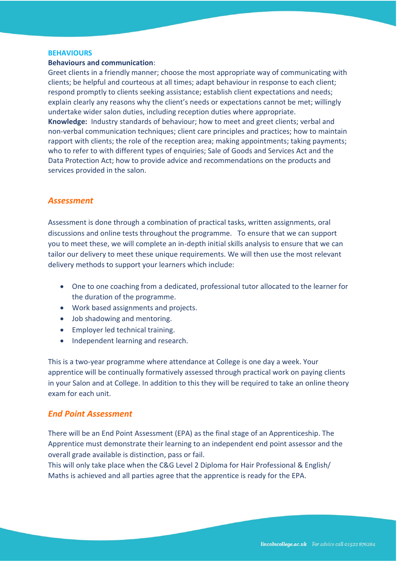#### **BEHAVIOURS**

#### **Behaviours and communication**:

Greet clients in a friendly manner; choose the most appropriate way of communicating with clients; be helpful and courteous at all times; adapt behaviour in response to each client; respond promptly to clients seeking assistance; establish client expectations and needs; explain clearly any reasons why the client's needs or expectations cannot be met; willingly undertake wider salon duties, including reception duties where appropriate.

**Knowledge:** Industry standards of behaviour; how to meet and greet clients; verbal and non-verbal communication techniques; client care principles and practices; how to maintain rapport with clients; the role of the reception area; making appointments; taking payments; who to refer to with different types of enquiries; Sale of Goods and Services Act and the Data Protection Act; how to provide advice and recommendations on the products and services provided in the salon.

## *Assessment*

Assessment is done through a combination of practical tasks, written assignments, oral discussions and online tests throughout the programme. To ensure that we can support you to meet these, we will complete an in-depth initial skills analysis to ensure that we can tailor our delivery to meet these unique requirements. We will then use the most relevant delivery methods to support your learners which include:

- One to one coaching from a dedicated, professional tutor allocated to the learner for the duration of the programme.
- Work based assignments and projects.
- Job shadowing and mentoring.
- Employer led technical training.
- Independent learning and research.

This is a two-year programme where attendance at College is one day a week. Your apprentice will be continually formatively assessed through practical work on paying clients in your Salon and at College. In addition to this they will be required to take an online theory exam for each unit.

## *End Point Assessment*

There will be an End Point Assessment (EPA) as the final stage of an Apprenticeship. The Apprentice must demonstrate their learning to an independent end point assessor and the overall grade available is distinction, pass or fail.

This will only take place when the C&G Level 2 Diploma for Hair Professional & English/ Maths is achieved and all parties agree that the apprentice is ready for the EPA.